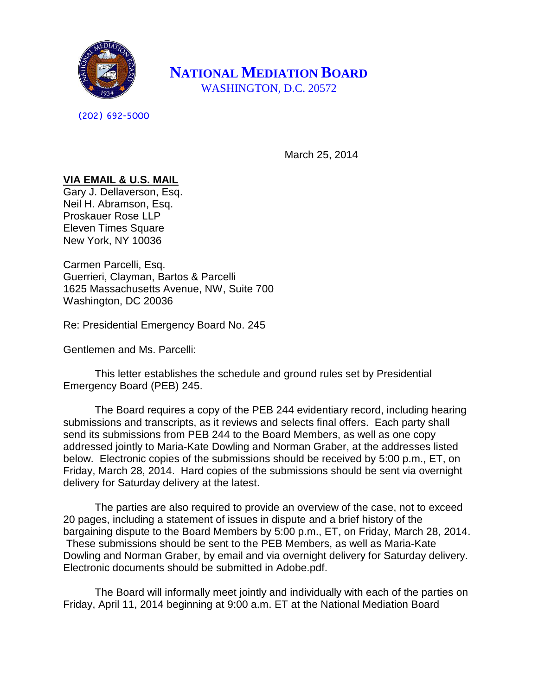

**NATIONAL MEDIATION BOARD** WASHINGTON, D.C. 20572

(202) 692-5000

March 25, 2014

## **VIA EMAIL & U.S. MAIL**

Gary J. Dellaverson, Esq. Neil H. Abramson, Esq. Proskauer Rose LLP Eleven Times Square New York, NY 10036

Carmen Parcelli, Esq. Guerrieri, Clayman, Bartos & Parcelli 1625 Massachusetts Avenue, NW, Suite 700 Washington, DC 20036

Re: Presidential Emergency Board No. 245

Gentlemen and Ms. Parcelli:

This letter establishes the schedule and ground rules set by Presidential Emergency Board (PEB) 245.

The Board requires a copy of the PEB 244 evidentiary record, including hearing submissions and transcripts, as it reviews and selects final offers. Each party shall send its submissions from PEB 244 to the Board Members, as well as one copy addressed jointly to Maria-Kate Dowling and Norman Graber, at the addresses listed below. Electronic copies of the submissions should be received by 5:00 p.m., ET, on Friday, March 28, 2014. Hard copies of the submissions should be sent via overnight delivery for Saturday delivery at the latest.

The parties are also required to provide an overview of the case, not to exceed 20 pages, including a statement of issues in dispute and a brief history of the bargaining dispute to the Board Members by 5:00 p.m., ET, on Friday, March 28, 2014. These submissions should be sent to the PEB Members, as well as Maria-Kate Dowling and Norman Graber, by email and via overnight delivery for Saturday delivery. Electronic documents should be submitted in Adobe.pdf.

The Board will informally meet jointly and individually with each of the parties on Friday, April 11, 2014 beginning at 9:00 a.m. ET at the National Mediation Board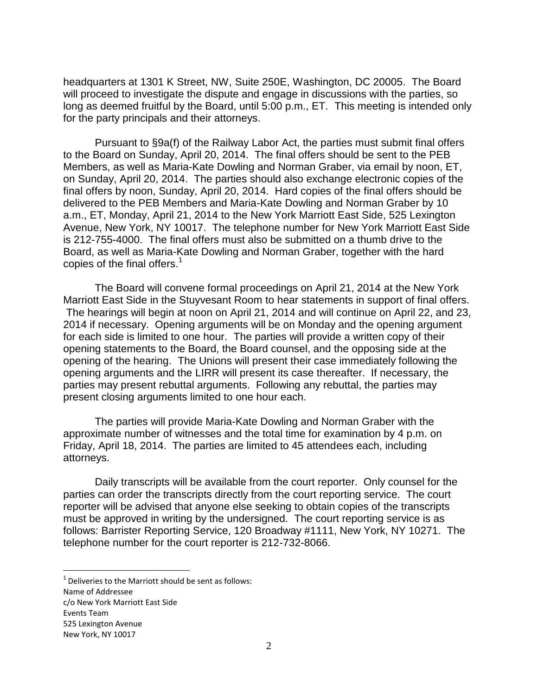headquarters at 1301 K Street, NW, Suite 250E, Washington, DC 20005. The Board will proceed to investigate the dispute and engage in discussions with the parties, so long as deemed fruitful by the Board, until 5:00 p.m., ET. This meeting is intended only for the party principals and their attorneys.

Pursuant to §9a(f) of the Railway Labor Act, the parties must submit final offers to the Board on Sunday, April 20, 2014. The final offers should be sent to the PEB Members, as well as Maria-Kate Dowling and Norman Graber, via email by noon, ET, on Sunday, April 20, 2014. The parties should also exchange electronic copies of the final offers by noon, Sunday, April 20, 2014. Hard copies of the final offers should be delivered to the PEB Members and Maria-Kate Dowling and Norman Graber by 10 a.m., ET, Monday, April 21, 2014 to the New York Marriott East Side, 525 Lexington Avenue, New York, NY 10017. The telephone number for New York Marriott East Side is 212-755-4000. The final offers must also be submitted on a thumb drive to the Board, as well as Maria-Kate Dowling and Norman Graber, together with the hard copies of the final offers.<sup>1</sup>

The Board will convene formal proceedings on April 21, 2014 at the New York Marriott East Side in the Stuyvesant Room to hear statements in support of final offers. The hearings will begin at noon on April 21, 2014 and will continue on April 22, and 23, 2014 if necessary. Opening arguments will be on Monday and the opening argument for each side is limited to one hour. The parties will provide a written copy of their opening statements to the Board, the Board counsel, and the opposing side at the opening of the hearing. The Unions will present their case immediately following the opening arguments and the LIRR will present its case thereafter. If necessary, the parties may present rebuttal arguments. Following any rebuttal, the parties may present closing arguments limited to one hour each.

The parties will provide Maria-Kate Dowling and Norman Graber with the approximate number of witnesses and the total time for examination by 4 p.m. on Friday, April 18, 2014. The parties are limited to 45 attendees each, including attorneys.

Daily transcripts will be available from the court reporter. Only counsel for the parties can order the transcripts directly from the court reporting service. The court reporter will be advised that anyone else seeking to obtain copies of the transcripts must be approved in writing by the undersigned. The court reporting service is as follows: Barrister Reporting Service, 120 Broadway #1111, New York, NY 10271. The telephone number for the court reporter is 212-732-8066.

2

 $\overline{a}$ 

 $1$  Deliveries to the Marriott should be sent as follows:

Name of Addressee

c/o New York Marriott East Side Events Team

<sup>525</sup> Lexington Avenue New York, NY 10017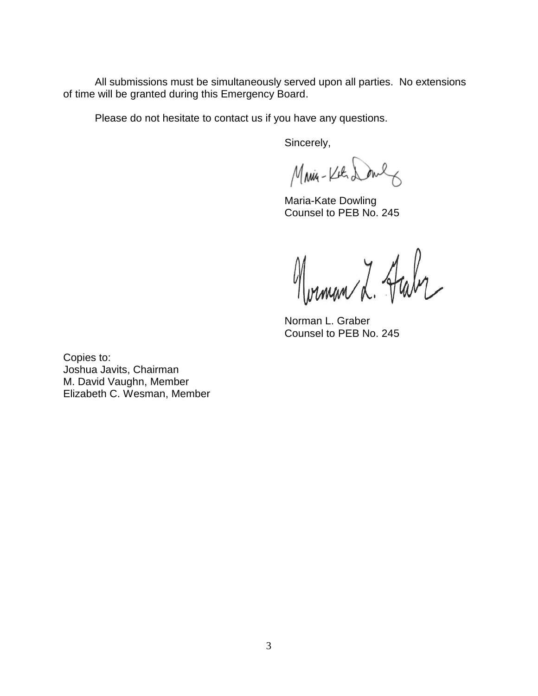All submissions must be simultaneously served upon all parties. No extensions of time will be granted during this Emergency Board.

Please do not hesitate to contact us if you have any questions.

Sincerely,

Main-Kil Doul

Maria-Kate Dowling Counsel to PEB No. 245

Morman L. Haby

Norman L. Graber Counsel to PEB No. 245

Copies to: Joshua Javits, Chairman M. David Vaughn, Member Elizabeth C. Wesman, Member